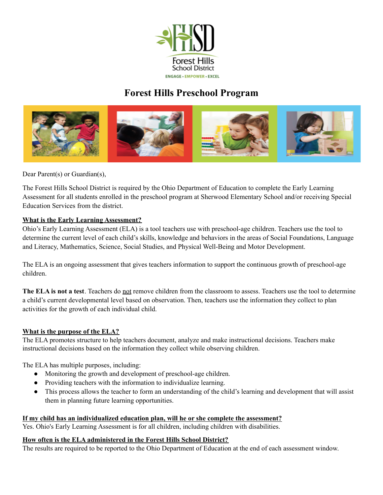

# **Forest Hills Preschool Program**



Dear Parent(s) or Guardian(s),

The Forest Hills School District is required by the Ohio Department of Education to complete the Early Learning Assessment for all students enrolled in the preschool program at Sherwood Elementary School and/or receiving Special Education Services from the district.

## **What is the Early Learning Assessment?**

Ohio's Early Learning Assessment (ELA) is a tool teachers use with preschool-age children. Teachers use the tool to determine the current level of each child's skills, knowledge and behaviors in the areas of Social Foundations, Language and Literacy, Mathematics, Science, Social Studies, and Physical Well-Being and Motor Development.

The ELA is an ongoing assessment that gives teachers information to support the continuous growth of preschool-age children.

**The ELA is not a test**. Teachers do not remove children from the classroom to assess. Teachers use the tool to determine a child's current developmental level based on observation. Then, teachers use the information they collect to plan activities for the growth of each individual child.

### **What is the purpose of the ELA?**

The ELA promotes structure to help teachers document, analyze and make instructional decisions. Teachers make instructional decisions based on the information they collect while observing children.

The ELA has multiple purposes, including:

- Monitoring the growth and development of preschool-age children.
- Providing teachers with the information to individualize learning.
- This process allows the teacher to form an understanding of the child's learning and development that will assist them in planning future learning opportunities.

### **If my child has an individualized education plan, will he or she complete the assessment?**

Yes. Ohio's Early Learning Assessment is for all children, including children with disabilities.

### **How often is the ELA administered in the Forest Hills School District?**

The results are required to be reported to the Ohio Department of Education at the end of each assessment window.